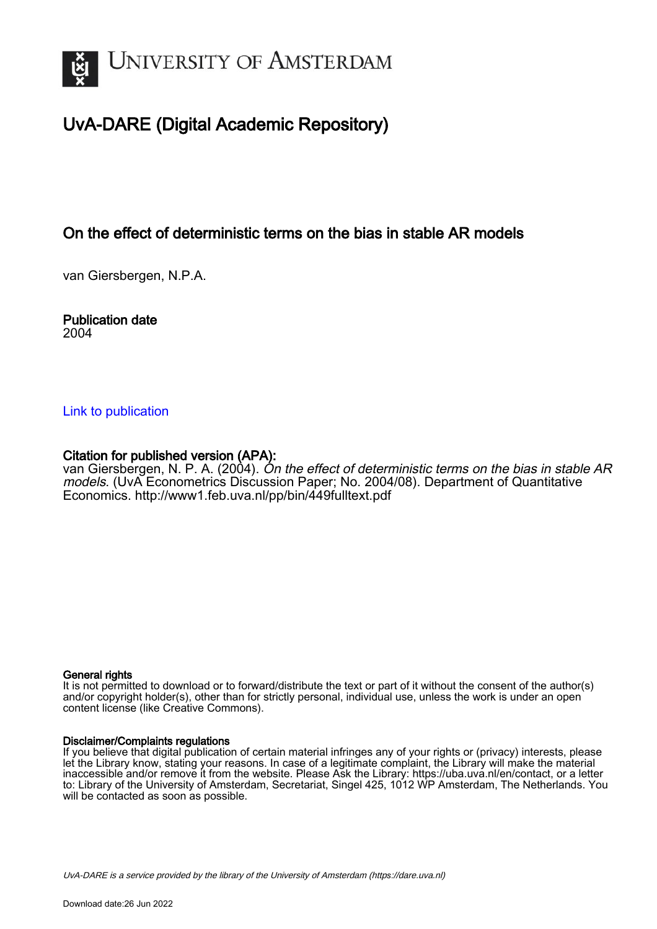

# UvA-DARE (Digital Academic Repository)

# On the effect of deterministic terms on the bias in stable AR models

van Giersbergen, N.P.A.

### Publication date 2004

### [Link to publication](https://dare.uva.nl/personal/pure/en/publications/on-the-effect-of-deterministic-terms-on-the-bias-in-stable-ar-models(7b94c223-b80c-4589-b895-eb43b24bfbbf).html)

### Citation for published version (APA):

van Giersbergen, N. P. A. (2004). On the effect of deterministic terms on the bias in stable AR models. (UvA Econometrics Discussion Paper; No. 2004/08). Department of Quantitative Economics.<http://www1.feb.uva.nl/pp/bin/449fulltext.pdf>

### General rights

It is not permitted to download or to forward/distribute the text or part of it without the consent of the author(s) and/or copyright holder(s), other than for strictly personal, individual use, unless the work is under an open content license (like Creative Commons).

### Disclaimer/Complaints regulations

If you believe that digital publication of certain material infringes any of your rights or (privacy) interests, please let the Library know, stating your reasons. In case of a legitimate complaint, the Library will make the material inaccessible and/or remove it from the website. Please Ask the Library: https://uba.uva.nl/en/contact, or a letter to: Library of the University of Amsterdam, Secretariat, Singel 425, 1012 WP Amsterdam, The Netherlands. You will be contacted as soon as possible.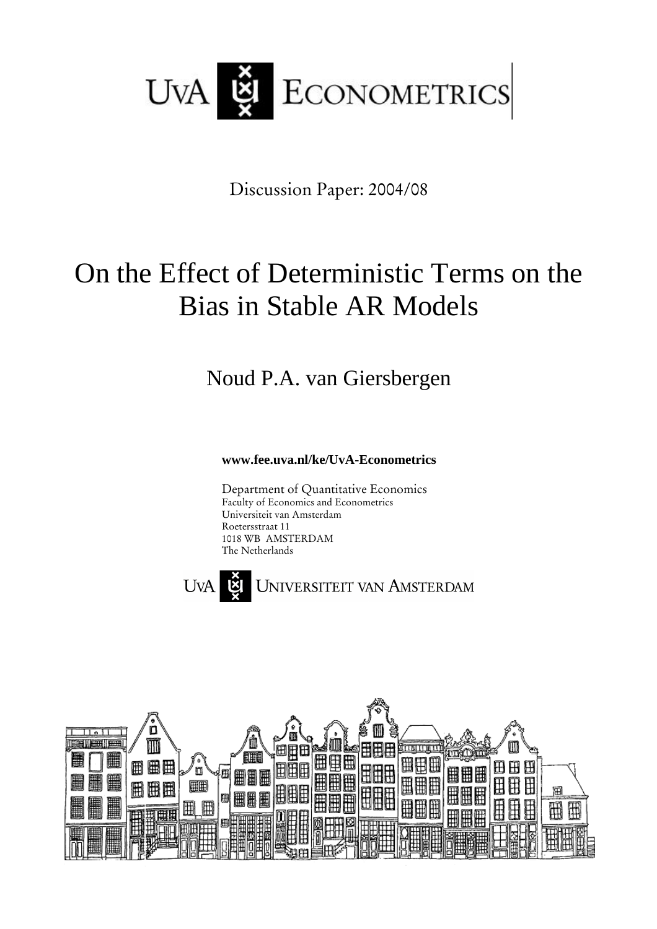

Discussion Paper: 2004/08

# On the Effect of Deterministic Terms on the Bias in Stable AR Models

Noud P.A. van Giersbergen

**www.fee.uva.nl/ke/UvA-Econometrics**

Department of Quantitative Economics Faculty of Economics and Econometrics Universiteit van Amsterdam Roetersstraat 11 1018 WB AMSTERDAM The Netherlands



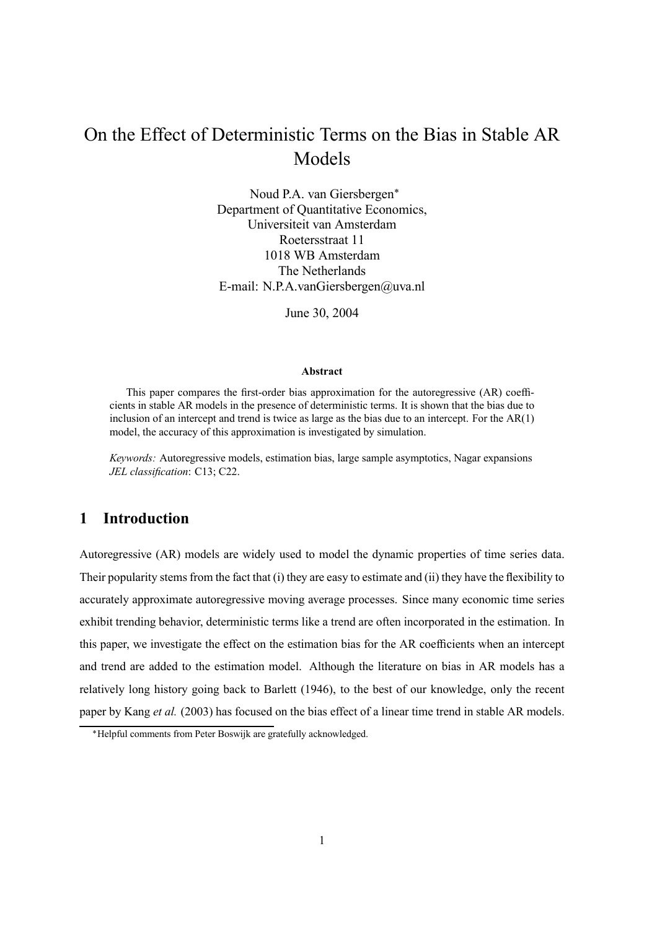# On the Effect of Deterministic Terms on the Bias in Stable AR Models

Noud P.A. van Giersbergen∗ Department of Quantitative Economics, Universiteit van Amsterdam Roetersstraat 11 1018 WB Amsterdam The Netherlands E-mail: N.P.A.vanGiersbergen@uva.nl

June 30, 2004

#### **Abstract**

This paper compares the first-order bias approximation for the autoregressive (AR) coefficients in stable AR models in the presence of deterministic terms. It is shown that the bias due to inclusion of an intercept and trend is twice as large as the bias due to an intercept. For the AR(1) model, the accuracy of this approximation is investigated by simulation.

*Keywords:* Autoregressive models, estimation bias, large sample asymptotics, Nagar expansions *JEL classification*: C13; C22.

## **1 Introduction**

Autoregressive (AR) models are widely used to model the dynamic properties of time series data. Their popularity stems from the fact that (i) they are easy to estimate and (ii) they have the flexibility to accurately approximate autoregressive moving average processes. Since many economic time series exhibit trending behavior, deterministic terms like a trend are often incorporated in the estimation. In this paper, we investigate the effect on the estimation bias for the AR coefficients when an intercept and trend are added to the estimation model. Although the literature on bias in AR models has a relatively long history going back to Barlett (1946), to the best of our knowledge, only the recent paper by Kang *et al.* (2003) has focused on the bias effect of a linear time trend in stable AR models.

<sup>∗</sup>Helpful comments from Peter Boswijk are gratefully acknowledged.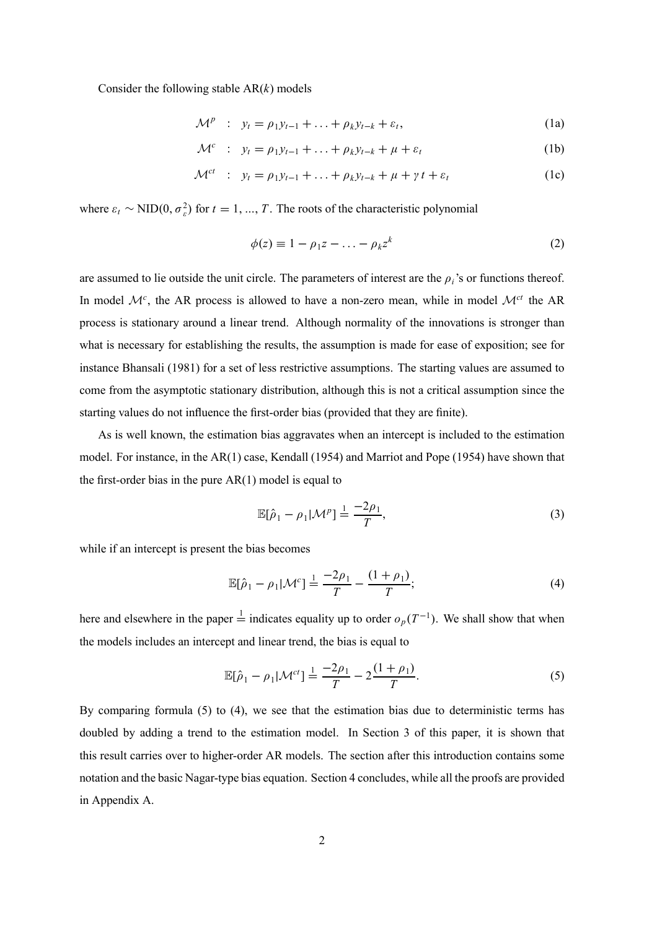Consider the following stable AR(*k*) models

$$
\mathcal{M}^p : y_t = \rho_1 y_{t-1} + \ldots + \rho_k y_{t-k} + \varepsilon_t,
$$
\n(1a)

$$
\mathcal{M}^c : y_t = \rho_1 y_{t-1} + \ldots + \rho_k y_{t-k} + \mu + \varepsilon_t \tag{1b}
$$

$$
\mathcal{M}^{ct} \quad : \quad y_t = \rho_1 y_{t-1} + \ldots + \rho_k y_{t-k} + \mu + \gamma t + \varepsilon_t \tag{1c}
$$

where  $\varepsilon_t \sim \text{NID}(0, \sigma_{\varepsilon}^2)$  for  $t = 1, ..., T$ . The roots of the characteristic polynomial

$$
\phi(z) \equiv 1 - \rho_1 z - \ldots - \rho_k z^k \tag{2}
$$

are assumed to lie outside the unit circle. The parameters of interest are the  $\rho_i$ 's or functions thereof. In model  $\mathcal{M}^c$ , the AR process is allowed to have a non-zero mean, while in model  $\mathcal{M}^{ct}$  the AR process is stationary around a linear trend. Although normality of the innovations is stronger than what is necessary for establishing the results, the assumption is made for ease of exposition; see for instance Bhansali (1981) for a set of less restrictive assumptions. The starting values are assumed to come from the asymptotic stationary distribution, although this is not a critical assumption since the starting values do not influence the first-order bias (provided that they are finite).

As is well known, the estimation bias aggravates when an intercept is included to the estimation model. For instance, in the AR(1) case, Kendall (1954) and Marriot and Pope (1954) have shown that the first-order bias in the pure AR(1) model is equal to

$$
\mathbb{E}[\hat{\rho}_1 - \rho_1 | \mathcal{M}^p] \stackrel{1}{=} \frac{-2\rho_1}{T},\tag{3}
$$

while if an intercept is present the bias becomes

$$
\mathbb{E}[\hat{\rho}_1 - \rho_1 | \mathcal{M}^c] \stackrel{1}{=} \frac{-2\rho_1}{T} - \frac{(1+\rho_1)}{T};\tag{4}
$$

here and elsewhere in the paper  $\frac{1}{n}$  indicates equality up to order  $o_p(T^{-1})$ . We shall show that when the models includes an intercept and linear trend, the bias is equal to

$$
\mathbb{E}[\hat{\rho}_1 - \rho_1 | \mathcal{M}^{ct}] \stackrel{1}{=} \frac{-2\rho_1}{T} - 2\frac{(1+\rho_1)}{T}.
$$
 (5)

By comparing formula (5) to (4), we see that the estimation bias due to deterministic terms has doubled by adding a trend to the estimation model. In Section 3 of this paper, it is shown that this result carries over to higher-order AR models. The section after this introduction contains some notation and the basic Nagar-type bias equation. Section 4 concludes, while all the proofs are provided in Appendix A.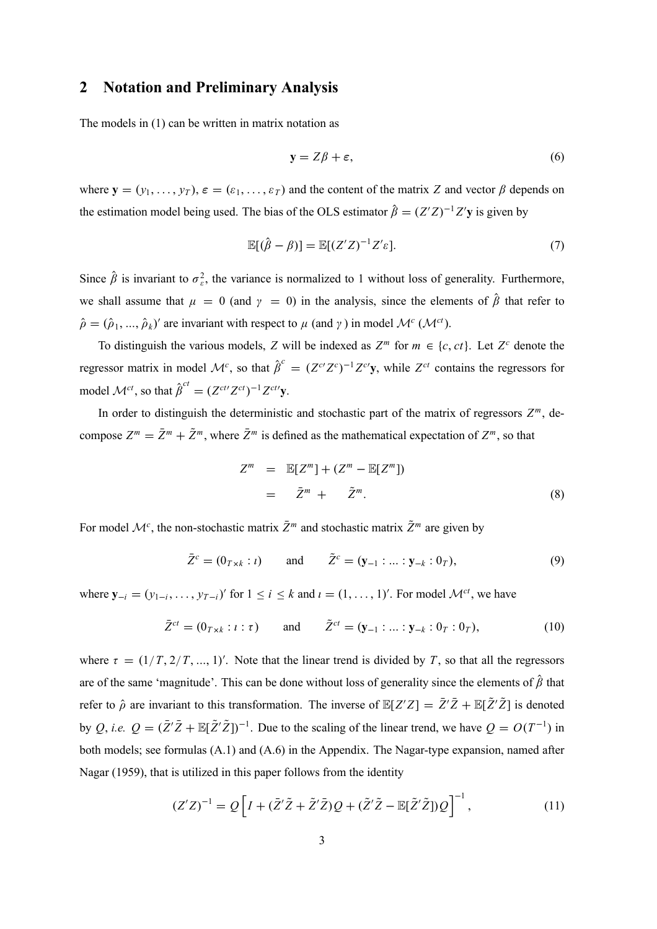### **2 Notation and Preliminary Analysis**

The models in (1) can be written in matrix notation as

$$
y = Z\beta + \varepsilon,\tag{6}
$$

where  $\mathbf{y} = (y_1, \ldots, y_T)$ ,  $\boldsymbol{\varepsilon} = (\varepsilon_1, \ldots, \varepsilon_T)$  and the content of the matrix *Z* and vector  $\beta$  depends on the estimation model being used. The bias of the OLS estimator  $\hat{\beta} = (Z'Z)^{-1}Z'$ **y** is given by

$$
\mathbb{E}[(\hat{\beta} - \beta)] = \mathbb{E}[(Z'Z)^{-1}Z'\varepsilon].\tag{7}
$$

Since  $\hat{\beta}$  is invariant to  $\sigma_{\varepsilon}^2$ , the variance is normalized to 1 without loss of generality. Furthermore, we shall assume that  $\mu = 0$  (and  $\gamma = 0$ ) in the analysis, since the elements of  $\hat{\beta}$  that refer to  $\hat{\rho} = (\hat{\rho}_1, ..., \hat{\rho}_k)'$  are invariant with respect to  $\mu$  (and  $\gamma$ ) in model  $\mathcal{M}^c (\mathcal{M}^{ct})$ .

To distinguish the various models, *Z* will be indexed as  $Z^m$  for  $m \in \{c, ct\}$ . Let  $Z^c$  denote the regressor matrix in model  $\mathcal{M}^c$ , so that  $\hat{\beta}^c = (Z^{c'}Z^c)^{-1}Z^{c'}y$ , while  $Z^{ct}$  contains the regressors for model  $\mathcal{M}^{ct}$ , so that  $\hat{\beta}^{ct} = (Z^{ctt}Z^{ct})^{-1}Z^{ctt}$ y.

In order to distinguish the deterministic and stochastic part of the matrix of regressors  $Z^m$ , decompose  $Z^m = \bar{Z}^m + \tilde{Z}^m$ , where  $\bar{Z}^m$  is defined as the mathematical expectation of  $Z^m$ , so that

$$
Zm = \mathbb{E}[Zm] + (Zm - \mathbb{E}[Zm])
$$
  
=  $\bar{Z}m + \tilde{Z}m$ . (8)

For model  $\mathcal{M}^c$ , the non-stochastic matrix  $\bar{Z}^m$  and stochastic matrix  $\tilde{Z}^m$  are given by

$$
\bar{Z}^c = (0_{T \times k} : i)
$$
 and  $\tilde{Z}^c = (\mathbf{y}_{-1} : ... : \mathbf{y}_{-k} : 0_T),$  (9)

where  $\mathbf{y}_{-i} = (y_{1-i}, \ldots, y_{T-i})'$  for  $1 \le i \le k$  and  $i = (1, \ldots, 1)'$ . For model  $\mathcal{M}^{ct}$ , we have

$$
\bar{Z}^{ct} = (0_{T \times k} : i : \tau)
$$
 and  $\tilde{Z}^{ct} = (\mathbf{y}_{-1} : ... : \mathbf{y}_{-k} : 0_T : 0_T),$  (10)

where  $\tau = (1/T, 2/T, ..., 1)$ . Note that the linear trend is divided by T, so that all the regressors are of the same 'magnitude'. This can be done without loss of generality since the elements of  $\hat{\beta}$  that refer to  $\hat{\rho}$  are invariant to this transformation. The inverse of  $\mathbb{E}[Z'Z] = \overline{Z'\overline{Z}} + \mathbb{E}[\overline{Z'\overline{Z}}]$  is denoted by *Q*, *i.e.*  $Q = (\bar{Z}'\bar{Z} + \mathbb{E}[\tilde{Z}'\tilde{Z}])^{-1}$ . Due to the scaling of the linear trend, we have  $Q = O(T^{-1})$  in both models; see formulas (A.1) and (A.6) in the Appendix. The Nagar-type expansion, named after Nagar (1959), that is utilized in this paper follows from the identity

$$
(Z'Z)^{-1} = Q\left[I + (\bar{Z}'\tilde{Z} + \tilde{Z}'\bar{Z})Q + (\tilde{Z}'\tilde{Z} - \mathbb{E}[\tilde{Z}'\tilde{Z}])Q\right]^{-1},\tag{11}
$$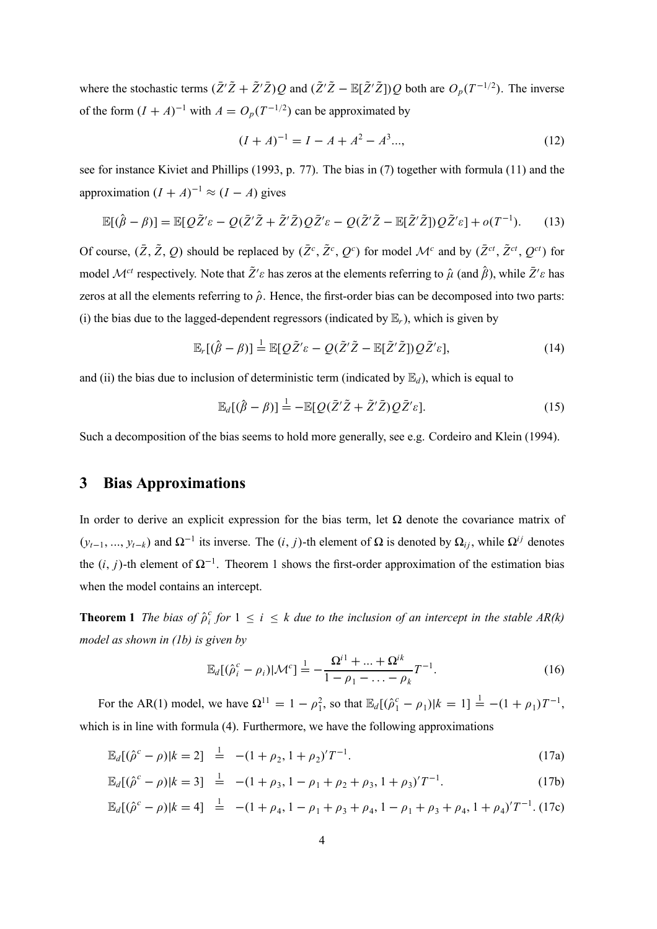where the stochastic terms  $(\bar{Z}'\tilde{Z} + \tilde{Z}'\bar{Z})Q$  and  $(\tilde{Z}'\tilde{Z} - \mathbb{E}[\tilde{Z}'\tilde{Z}])Q$  both are  $O_p(T^{-1/2})$ . The inverse of the form  $(I + A)^{-1}$  with  $A = O_p(T^{-1/2})$  can be approximated by

$$
(I + A)^{-1} = I - A + A^2 - A^3 \dots,
$$
 (12)

see for instance Kiviet and Phillips (1993, p. 77). The bias in (7) together with formula (11) and the approximation  $(I + A)^{-1} \approx (I - A)$  gives

$$
\mathbb{E}[(\hat{\beta} - \beta)] = \mathbb{E}[Q\tilde{Z}'\varepsilon - Q(\bar{Z}'\tilde{Z} + \tilde{Z}'\bar{Z})Q\bar{Z}'\varepsilon - Q(\tilde{Z}'\tilde{Z} - \mathbb{E}[\tilde{Z}'\tilde{Z}])Q\tilde{Z}'\varepsilon] + o(T^{-1}).
$$
 (13)

Of course,  $(\bar{Z}, \tilde{Z}, Q)$  should be replaced by  $(\bar{Z}^c, \tilde{Z}^c, Q^c)$  for model  $\mathcal{M}^c$  and by  $(\bar{Z}^{ct}, \tilde{Z}^{ct}, Q^{ct})$  for model  $\mathcal{M}^{ct}$  respectively. Note that  $\tilde{Z}'\varepsilon$  has zeros at the elements referring to  $\hat{\mu}$  (and  $\hat{\beta}$ ), while  $\bar{Z}'\varepsilon$  has zeros at all the elements referring to  $\hat{\rho}$ . Hence, the first-order bias can be decomposed into two parts: (i) the bias due to the lagged-dependent regressors (indicated by  $\mathbb{E}_r$ ), which is given by

$$
\mathbb{E}_r[(\hat{\beta} - \beta)] \stackrel{!}{=} \mathbb{E}[Q\tilde{Z}'\varepsilon - Q(\tilde{Z}'\tilde{Z} - \mathbb{E}[\tilde{Z}'\tilde{Z}])Q\tilde{Z}'\varepsilon],\tag{14}
$$

and (ii) the bias due to inclusion of deterministic term (indicated by  $\mathbb{E}_d$ ), which is equal to

$$
\mathbb{E}_d[(\hat{\beta} - \beta)] \stackrel{1}{=} -\mathbb{E}[Q(\bar{Z}'\tilde{Z} + \tilde{Z}'\bar{Z})Q\bar{Z}'\varepsilon]. \tag{15}
$$

Such a decomposition of the bias seems to hold more generally, see e.g. Cordeiro and Klein (1994).

### **3 Bias Approximations**

In order to derive an explicit expression for the bias term, let  $\Omega$  denote the covariance matrix of  $(y_{t-1}, ..., y_{t-k})$  and  $\Omega^{-1}$  its inverse. The  $(i, j)$ -th element of  $\Omega$  is denoted by  $\Omega_{ij}$ , while  $\Omega^{ij}$  denotes the  $(i, j)$ -th element of  $\Omega^{-1}$ . Theorem 1 shows the first-order approximation of the estimation bias when the model contains an intercept.

**Theorem 1** *The bias of*  $\hat{\rho}_i^c$  *for*  $1 \leq i \leq k$  *due to the inclusion of an intercept in the stable AR(k) model as shown in (1b) is given by*

$$
\mathbb{E}_d[(\hat{\rho}_i^c - \rho_i)|\mathcal{M}^c] \stackrel{1}{=} -\frac{\Omega^{i1} + \dots + \Omega^{ik}}{1 - \rho_1 - \dots - \rho_k}T^{-1}.
$$
\n(16)

For the AR(1) model, we have  $\Omega^{11} = 1 - \rho_1^2$ , so that  $\mathbb{E}_d[(\hat{\rho}_1^c - \rho_1)|k = 1] \stackrel{!}{=} -(1 + \rho_1)T^{-1}$ , which is in line with formula (4). Furthermore, we have the following approximations

$$
\mathbb{E}_d[(\hat{\rho}^c - \rho)|k = 2] \stackrel{1}{=} -(1 + \rho_2, 1 + \rho_2)'T^{-1}.
$$
\n(17a)

$$
\mathbb{E}_d[(\hat{\rho}^c - \rho)|k = 3] \stackrel{1}{=} -(1 + \rho_3, 1 - \rho_1 + \rho_2 + \rho_3, 1 + \rho_3)'T^{-1}.
$$
 (17b)

$$
\mathbb{E}_d[(\hat{\rho}^c - \rho)|k = 4] \stackrel{!}{=} -(1 + \rho_4, 1 - \rho_1 + \rho_3 + \rho_4, 1 - \rho_1 + \rho_3 + \rho_4, 1 + \rho_4)'T^{-1}.
$$
 (17c)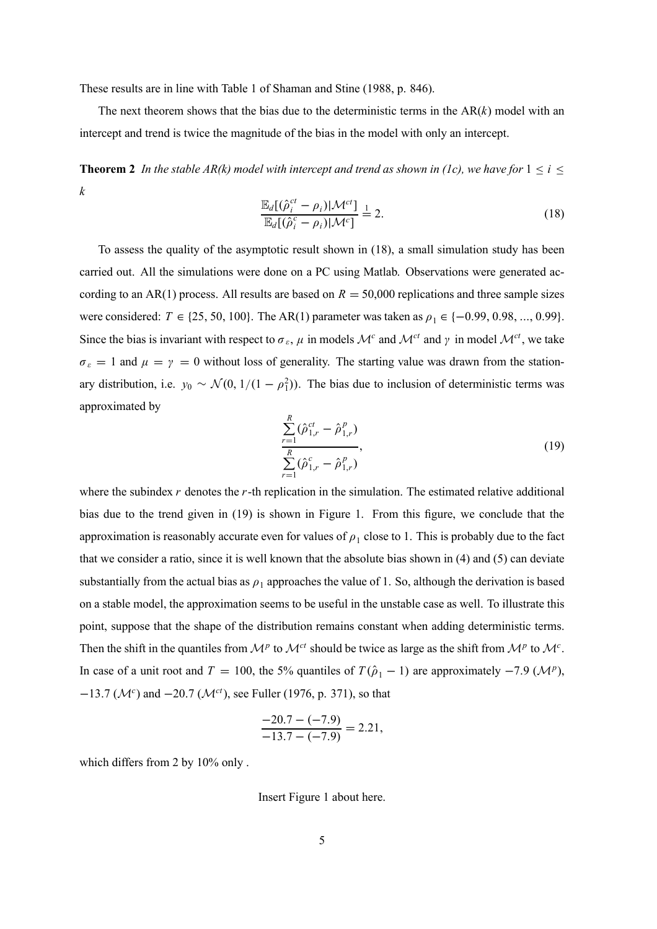These results are in line with Table 1 of Shaman and Stine (1988, p. 846).

The next theorem shows that the bias due to the deterministic terms in the  $AR(k)$  model with an intercept and trend is twice the magnitude of the bias in the model with only an intercept.

**Theorem 2** *In the stable AR(k) model with intercept and trend as shown in (1c), we have for*  $1 \le i \le$ *k*

$$
\frac{\mathbb{E}_d[(\hat{\rho}_i^{ct} - \rho_i)|\mathcal{M}^{ct}]}{\mathbb{E}_d[(\hat{\rho}_i^{c} - \rho_i)|\mathcal{M}^{c}]} \stackrel{1}{=} 2.
$$
\n(18)

To assess the quality of the asymptotic result shown in (18), a small simulation study has been carried out. All the simulations were done on a PC using Matlab. Observations were generated according to an AR(1) process. All results are based on  $R = 50,000$  replications and three sample sizes were considered:  $T \in \{25, 50, 100\}$ . The AR(1) parameter was taken as  $\rho_1 \in \{-0.99, 0.98, ..., 0.99\}$ . Since the bias is invariant with respect to  $\sigma_{\varepsilon}$ ,  $\mu$  in models  $\mathcal{M}^c$  and  $\mathcal{M}^{ct}$  and  $\gamma$  in model  $\mathcal{M}^{ct}$ , we take  $\sigma_{\varepsilon} = 1$  and  $\mu = \gamma = 0$  without loss of generality. The starting value was drawn from the stationary distribution, i.e.  $y_0 \sim \mathcal{N}(0, 1/(1 - \rho_1^2))$ . The bias due to inclusion of deterministic terms was approximated by

$$
\frac{\sum_{r=1}^{R} (\hat{\rho}_{1,r}^{ct} - \hat{\rho}_{1,r}^{p})}{\sum_{r=1}^{R} (\hat{\rho}_{1,r}^{c} - \hat{\rho}_{1,r}^{p})},
$$
\n(19)

where the subindex *r* denotes the *r*-th replication in the simulation. The estimated relative additional bias due to the trend given in (19) is shown in Figure 1. From this figure, we conclude that the approximation is reasonably accurate even for values of  $\rho_1$  close to 1. This is probably due to the fact that we consider a ratio, since it is well known that the absolute bias shown in (4) and (5) can deviate substantially from the actual bias as  $\rho_1$  approaches the value of 1. So, although the derivation is based on a stable model, the approximation seems to be useful in the unstable case as well. To illustrate this point, suppose that the shape of the distribution remains constant when adding deterministic terms. Then the shift in the quantiles from  $\mathcal{M}^p$  to  $\mathcal{M}^{ct}$  should be twice as large as the shift from  $\mathcal{M}^p$  to  $\mathcal{M}^c$ . In case of a unit root and  $T = 100$ , the 5% quantiles of  $T(\hat{\rho}_1 - 1)$  are approximately  $-7.9$  ( $\mathcal{M}^p$ ), <sup>−</sup>13.7 (M*<sup>c</sup>*) and <sup>−</sup>20.7 (M*ct*), see Fuller (1976, p. 371), so that

$$
\frac{-20.7 - (-7.9)}{-13.7 - (-7.9)} = 2.21,
$$

which differs from 2 by 10% only .

Insert Figure 1 about here.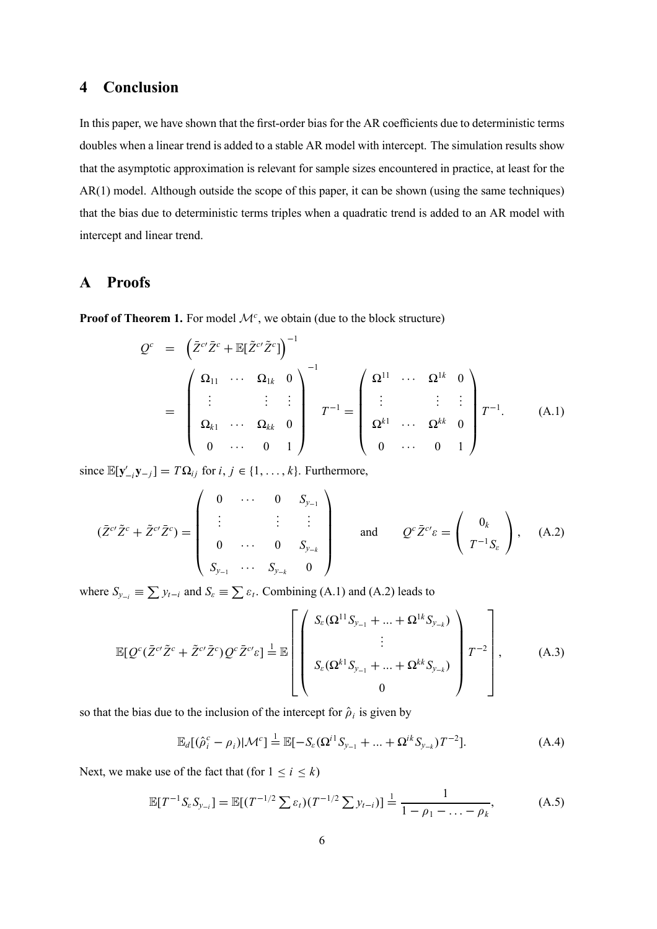### **4 Conclusion**

In this paper, we have shown that the first-order bias for the AR coefficients due to deterministic terms doubles when a linear trend is added to a stable AR model with intercept. The simulation results show that the asymptotic approximation is relevant for sample sizes encountered in practice, at least for the AR(1) model. Although outside the scope of this paper, it can be shown (using the same techniques) that the bias due to deterministic terms triples when a quadratic trend is added to an AR model with intercept and linear trend.

### **A Proofs**

**Proof of Theorem 1.** For model  $\mathcal{M}^c$ , we obtain (due to the block structure)

$$
Q^{c} = \begin{pmatrix} \bar{Z}^{c\prime} \bar{Z}^{c} + \mathbb{E}[\tilde{Z}^{c\prime} \tilde{Z}^{c}] \end{pmatrix}^{-1}
$$
  
\n
$$
= \begin{pmatrix} \Omega_{11} & \cdots & \Omega_{1k} & 0 \\ \vdots & \vdots & \vdots \\ \Omega_{k1} & \cdots & \Omega_{kk} & 0 \\ 0 & \cdots & 0 & 1 \end{pmatrix}^{-1} T^{-1} = \begin{pmatrix} \Omega^{11} & \cdots & \Omega^{1k} & 0 \\ \vdots & \vdots & \vdots \\ \Omega^{k1} & \cdots & \Omega^{kk} & 0 \\ 0 & \cdots & 0 & 1 \end{pmatrix} T^{-1}.
$$
 (A.1)

since  $\mathbb{E}[\mathbf{y}'_{-i}\mathbf{y}_{-j}]$  = *T*Ω<sub>*ij*</sub> for *i*, *j* ∈ {1, ..., *k*}. Furthermore,

$$
(\bar{Z}^{c'}\tilde{Z}^c + \tilde{Z}^{c'}\bar{Z}^c) = \begin{pmatrix} 0 & \cdots & 0 & S_{y_{-1}} \\ \vdots & & \vdots & \vdots \\ 0 & \cdots & 0 & S_{y_{-k}} \\ S_{y_{-1}} & \cdots & S_{y_{-k}} & 0 \end{pmatrix} \quad \text{and} \quad Q^c\tilde{Z}^{c'}\varepsilon = \begin{pmatrix} 0_k \\ T^{-1}S_{\varepsilon} \end{pmatrix}, \quad (A.2)
$$

where  $S_{y_{-i}} \equiv \sum y_{t-i}$  and  $S_{\varepsilon} \equiv \sum \varepsilon_t$ . Combining (A.1) and (A.2) leads to

$$
\mathbb{E}[Q^c(\bar{Z}^{c\prime}\tilde{Z}^c + \tilde{Z}^{c\prime}\bar{Z}^c)Q^c\bar{Z}^{c\prime}\varepsilon] \stackrel{1}{=} \mathbb{E}\left[\begin{pmatrix} S_{\varepsilon}(\Omega^{11}S_{y_{-1}} + \dots + \Omega^{1k}S_{y_{-k}}) \\ \vdots \\ S_{\varepsilon}(\Omega^{k1}S_{y_{-1}} + \dots + \Omega^{kk}S_{y_{-k}}) \\ 0 \end{pmatrix} T^{-2}\right],\tag{A.3}
$$

so that the bias due to the inclusion of the intercept for  $\hat{\rho}_i$  is given by

$$
\mathbb{E}_d[(\hat{\rho}_i^c - \rho_i)|\mathcal{M}^c] \stackrel{1}{=} \mathbb{E}[-S_{\varepsilon}(\Omega^{i1}S_{y_{-1}} + \dots + \Omega^{ik}S_{y_{-k}})T^{-2}].
$$
\n(A.4)

Next, we make use of the fact that (for  $1 \le i \le k$ )

$$
\mathbb{E}[T^{-1}S_{\varepsilon}S_{y_{-i}}] = \mathbb{E}[(T^{-1/2}\sum \varepsilon_t)(T^{-1/2}\sum y_{t-i})] \stackrel{1}{=} \frac{1}{1-\rho_1-\ldots-\rho_k},\tag{A.5}
$$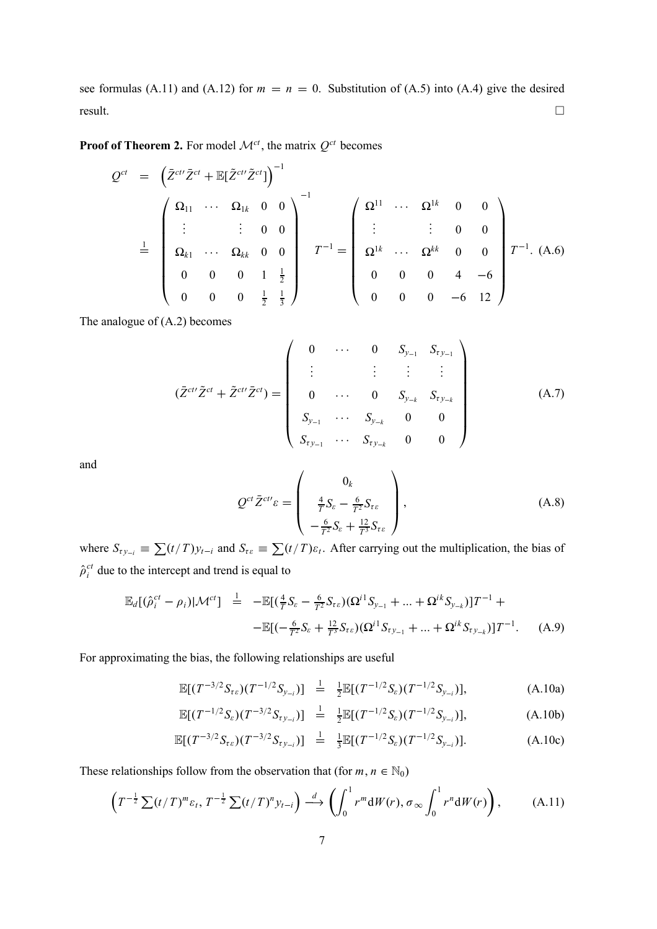see formulas (A.11) and (A.12) for  $m = n = 0$ . Substitution of (A.5) into (A.4) give the desired result.  $\Box$ 

**Proof of Theorem 2.** For model  $\mathcal{M}^{ct}$ , the matrix  $Q^{ct}$  becomes

$$
Q^{ct} = \begin{pmatrix} \bar{Z}^{ct} \bar{Z}^{ct} + \mathbb{E}[\tilde{Z}^{ct'} \tilde{Z}^{ct}] \end{pmatrix}^{-1}
$$
  
\n
$$
\stackrel{1}{=} \begin{pmatrix} \Omega_{11} & \cdots & \Omega_{1k} & 0 & 0 \\ \vdots & \vdots & 0 & 0 \\ \Omega_{k1} & \cdots & \Omega_{kk} & 0 & 0 \\ 0 & 0 & 0 & 1 & \frac{1}{2} \\ 0 & 0 & 0 & \frac{1}{2} & \frac{1}{3} \end{pmatrix}^{-1} T^{-1} = \begin{pmatrix} \Omega^{11} & \cdots & \Omega^{1k} & 0 & 0 \\ \vdots & \vdots & 0 & 0 & 0 \\ \Omega^{1k} & \cdots & \Omega^{kk} & 0 & 0 \\ 0 & 0 & 0 & 4 & -6 \\ 0 & 0 & 0 & -6 & 12 \end{pmatrix} T^{-1}.
$$
 (A.6)

The analogue of (A.2) becomes

$$
(\bar{Z}^{ct'}\tilde{Z}^{ct} + \tilde{Z}^{ct'}\bar{Z}^{ct}) = \begin{pmatrix} 0 & \cdots & 0 & S_{y_{-1}} & S_{t y_{-1}} \\ \vdots & & \vdots & \vdots & \vdots \\ 0 & \cdots & 0 & S_{y_{-k}} & S_{t y_{-k}} \\ S_{y_{-1}} & \cdots & S_{y_{-k}} & 0 & 0 \\ S_{t y_{-1}} & \cdots & S_{t y_{-k}} & 0 & 0 \end{pmatrix}
$$
(A.7)

and

$$
Q^{ct}\bar{Z}^{ct\prime}\varepsilon = \begin{pmatrix} 0_k \\ \frac{4}{T}S_{\varepsilon} - \frac{6}{T^2}S_{\tau\varepsilon} \\ -\frac{6}{T^2}S_{\varepsilon} + \frac{12}{T^3}S_{\tau\varepsilon} \end{pmatrix},
$$
(A.8)

where  $S_{\tau y_{-i}} \equiv \sum (t/T) y_{t-i}$  and  $S_{\tau \varepsilon} \equiv \sum (t/T) \varepsilon_t$ . After carrying out the multiplication, the bias of  $\hat{\rho}^{ct}_{i}$  due to the intercept and trend is equal to

$$
\mathbb{E}_{d}[(\hat{\rho}_{i}^{ct} - \rho_{i})|\mathcal{M}^{ct}] = -\mathbb{E}[(\frac{4}{T}S_{\varepsilon} - \frac{6}{T^{2}}S_{\tau_{\varepsilon}})(\Omega^{i1}S_{y_{-1}} + ... + \Omega^{ik}S_{y_{-k}})]T^{-1} +
$$
  

$$
-\mathbb{E}[(-\frac{6}{T^{2}}S_{\varepsilon} + \frac{12}{T^{3}}S_{\tau_{\varepsilon}})(\Omega^{i1}S_{\tau_{y_{-1}}} + ... + \Omega^{ik}S_{\tau_{y_{-k}}})]T^{-1}.
$$
 (A.9)

For approximating the bias, the following relationships are useful

$$
\mathbb{E}[(T^{-3/2}S_{\tau\epsilon})(T^{-1/2}S_{y_{-i}})] = \frac{1}{2}\mathbb{E}[(T^{-1/2}S_{\epsilon})(T^{-1/2}S_{y_{-i}})], \tag{A.10a}
$$

$$
\mathbb{E}[(T^{-1/2}S_{\varepsilon})(T^{-3/2}S_{\tau y_{-i}})] = \frac{1}{2}\mathbb{E}[(T^{-1/2}S_{\varepsilon})(T^{-1/2}S_{y_{-i}})], \tag{A.10b}
$$

$$
\mathbb{E}[(T^{-3/2}S_{\tau\epsilon})(T^{-3/2}S_{\tau y_{-i}})] = \frac{1}{3}\mathbb{E}[(T^{-1/2}S_{\epsilon})(T^{-1/2}S_{y_{-i}})]. \tag{A.10c}
$$

These relationships follow from the observation that (for  $m, n \in \mathbb{N}_0$ )

$$
\left(T^{-\frac{1}{2}}\sum (t/T)^m\varepsilon_t, T^{-\frac{1}{2}}\sum (t/T)^n y_{t-i}\right) \stackrel{d}{\longrightarrow} \left(\int_0^1 r^m dW(r), \sigma_\infty \int_0^1 r^n dW(r)\right),\tag{A.11}
$$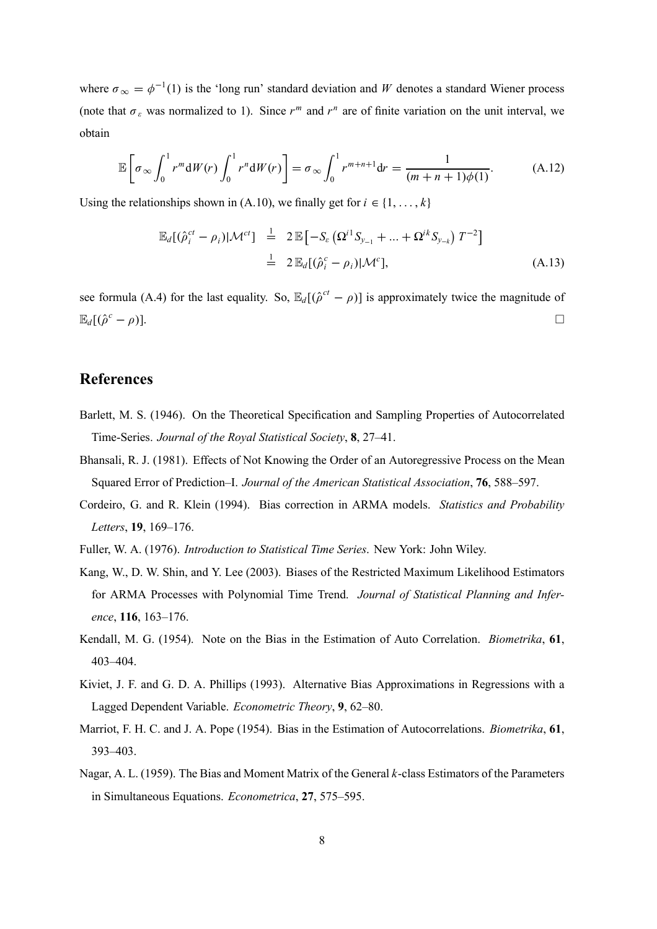where  $\sigma_{\infty} = \phi^{-1}(1)$  is the 'long run' standard deviation and *W* denotes a standard Wiener process (note that  $\sigma_{\varepsilon}$  was normalized to 1). Since  $r^m$  and  $r^n$  are of finite variation on the unit interval, we obtain

$$
\mathbb{E}\left[\sigma_{\infty}\int_{0}^{1}r^{m}\mathrm{d}W(r)\int_{0}^{1}r^{n}\mathrm{d}W(r)\right]=\sigma_{\infty}\int_{0}^{1}r^{m+n+1}\mathrm{d}r=\frac{1}{(m+n+1)\phi(1)}.\tag{A.12}
$$

Using the relationships shown in (A.10), we finally get for  $i \in \{1, \ldots, k\}$ 

$$
\mathbb{E}_{d}[(\hat{\rho}_{i}^{ct} - \rho_{i})|\mathcal{M}^{ct}] \stackrel{!}{=} 2 \mathbb{E}[-S_{\varepsilon} (\Omega^{i1} S_{y_{-1}} + ... + \Omega^{ik} S_{y_{-k}}) T^{-2}]
$$
  

$$
\stackrel{!}{=} 2 \mathbb{E}_{d}[(\hat{\rho}_{i}^{c} - \rho_{i})|\mathcal{M}^{c}], \qquad (A.13)
$$

see formula (A.4) for the last equality. So,  $\mathbb{E}_d[(\hat{\rho}^{ct} - \rho)]$  is approximately twice the magnitude of  $\mathbb{E}_d[(\hat{\rho}^c - \rho)].$  $(c - \rho)$ ].

### **References**

- Barlett, M. S. (1946). On the Theoretical Specification and Sampling Properties of Autocorrelated Time-Series. *Journal of the Royal Statistical Society*, **8**, 27–41.
- Bhansali, R. J. (1981). Effects of Not Knowing the Order of an Autoregressive Process on the Mean Squared Error of Prediction–I. *Journal of the American Statistical Association*, **76**, 588–597.
- Cordeiro, G. and R. Klein (1994). Bias correction in ARMA models. *Statistics and Probability Letters*, **19**, 169–176.
- Fuller, W. A. (1976). *Introduction to Statistical Time Series*. New York: John Wiley.
- Kang, W., D. W. Shin, and Y. Lee (2003). Biases of the Restricted Maximum Likelihood Estimators for ARMA Processes with Polynomial Time Trend. *Journal of Statistical Planning and Inference*, **116**, 163–176.
- Kendall, M. G. (1954). Note on the Bias in the Estimation of Auto Correlation. *Biometrika*, **61**, 403–404.
- Kiviet, J. F. and G. D. A. Phillips (1993). Alternative Bias Approximations in Regressions with a Lagged Dependent Variable. *Econometric Theory*, **9**, 62–80.
- Marriot, F. H. C. and J. A. Pope (1954). Bias in the Estimation of Autocorrelations. *Biometrika*, **61**, 393–403.
- Nagar, A. L. (1959). The Bias and Moment Matrix of the General *k*-class Estimators of the Parameters in Simultaneous Equations. *Econometrica*, **27**, 575–595.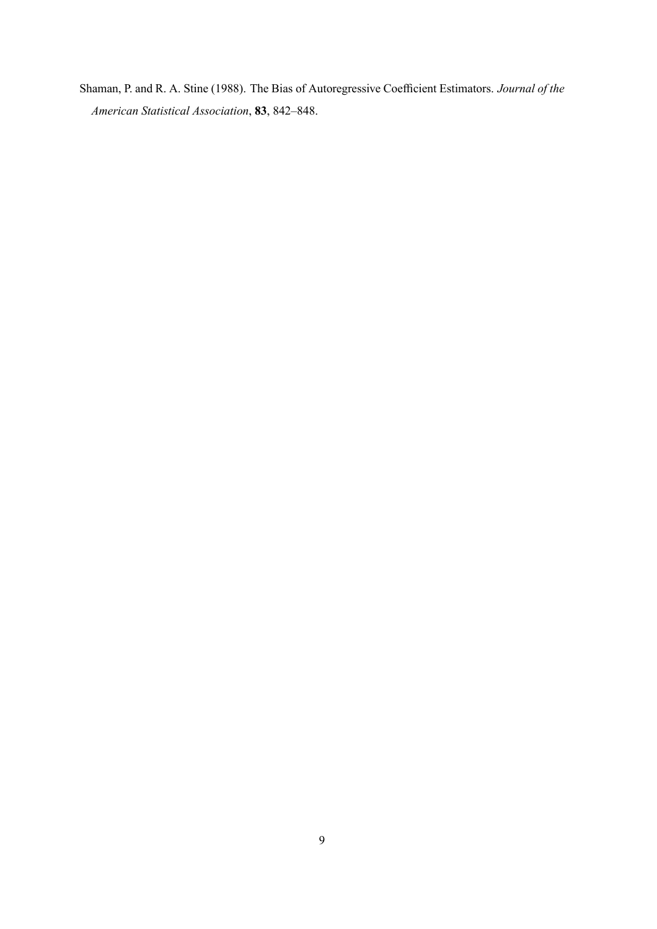Shaman, P. and R. A. Stine (1988). The Bias of Autoregressive Coefficient Estimators. *Journal of the American Statistical Association*, **83**, 842–848.